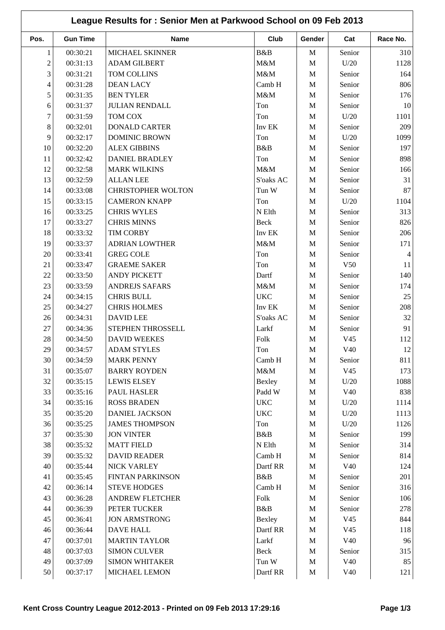| League Results for: Senior Men at Parkwood School on 09 Feb 2013 |                 |                           |              |              |                 |                |
|------------------------------------------------------------------|-----------------|---------------------------|--------------|--------------|-----------------|----------------|
| Pos.                                                             | <b>Gun Time</b> | <b>Name</b>               | Club         | Gender       | Cat             | Race No.       |
| 1                                                                | 00:30:21        | MICHAEL SKINNER           | B&B          | $\mathbf M$  | Senior          | 310            |
| $\overline{c}$                                                   | 00:31:13        | <b>ADAM GILBERT</b>       | M&M          | $\mathbf{M}$ | U/20            | 1128           |
| 3                                                                | 00:31:21        | TOM COLLINS               | M&M          | $\mathbf{M}$ | Senior          | 164            |
| 4                                                                | 00:31:28        | <b>DEAN LACY</b>          | Camb H       | $\mathbf{M}$ | Senior          | 806            |
| 5                                                                | 00:31:35        | <b>BEN TYLER</b>          | M&M          | $\mathbf{M}$ | Senior          | 176            |
| 6                                                                | 00:31:37        | <b>JULIAN RENDALL</b>     | Ton          | $\mathbf{M}$ | Senior          | 10             |
| 7                                                                | 00:31:59        | TOM COX                   | Ton          | $\mathbf{M}$ | U/20            | 1101           |
| 8                                                                | 00:32:01        | <b>DONALD CARTER</b>      | Inv EK       | $\mathbf{M}$ | Senior          | 209            |
| 9                                                                | 00:32:17        | <b>DOMINIC BROWN</b>      | Ton          | $\mathbf{M}$ | U/20            | 1099           |
| 10                                                               | 00:32:20        | <b>ALEX GIBBINS</b>       | B&B          | $\mathbf{M}$ | Senior          | 197            |
| 11                                                               | 00:32:42        | <b>DANIEL BRADLEY</b>     | Ton          | $\mathbf{M}$ | Senior          | 898            |
| 12                                                               | 00:32:58        | <b>MARK WILKINS</b>       | M&M          | $\mathbf M$  | Senior          | 166            |
| 13                                                               | 00:32:59        | <b>ALLAN LEE</b>          | S'oaks AC    | $\mathbf{M}$ | Senior          | 31             |
| 14                                                               | 00:33:08        | <b>CHRISTOPHER WOLTON</b> | Tun W        | $\mathbf{M}$ | Senior          | 87             |
| 15                                                               | 00:33:15        | <b>CAMERON KNAPP</b>      | Ton          | $\mathbf M$  | U/20            | 1104           |
| 16                                                               | 00:33:25        | <b>CHRIS WYLES</b>        | N Elth       | $\mathbf{M}$ | Senior          | 313            |
| 17                                                               | 00:33:27        | <b>CHRIS MINNS</b>        | Beck         | $\mathbf M$  | Senior          | 826            |
| 18                                                               | 00:33:32        | <b>TIM CORBY</b>          | Inv EK       | $\mathbf{M}$ | Senior          | 206            |
| 19                                                               | 00:33:37        | <b>ADRIAN LOWTHER</b>     | M&M          | $\mathbf{M}$ | Senior          | 171            |
| 20                                                               | 00:33:41        | <b>GREG COLE</b>          | Ton          | $\mathbf{M}$ | Senior          | $\overline{4}$ |
| 21                                                               | 00:33:47        | <b>GRAEME SAKER</b>       | Ton          | $\mathbf M$  | V <sub>50</sub> | 11             |
| 22                                                               | 00:33:50        | <b>ANDY PICKETT</b>       | Dartf        | $\mathbf{M}$ | Senior          | 140            |
| 23                                                               | 00:33:59        | <b>ANDREJS SAFARS</b>     | M&M          | $\mathbf{M}$ | Senior          | 174            |
| 24                                                               | 00:34:15        | <b>CHRIS BULL</b>         | <b>UKC</b>   | $\mathbf{M}$ | Senior          | 25             |
| 25                                                               | 00:34:27        | <b>CHRIS HOLMES</b>       | Inv EK       | $\mathbf{M}$ | Senior          | 208            |
| 26                                                               | 00:34:31        | <b>DAVID LEE</b>          | S'oaks AC    | $\mathbf M$  | Senior          | 32             |
| 27                                                               | 00:34:36        | STEPHEN THROSSELL         | Larkf        | $\mathbf{M}$ | Senior          | 91             |
| 28                                                               | 00:34:50        | <b>DAVID WEEKES</b>       | Folk         | M            | V45             | 112            |
| 29                                                               | 00:34:57        | <b>ADAM STYLES</b>        | Ton          | M            | V40             | <sup>12</sup>  |
| 30                                                               | 00:34:59        | <b>MARK PENNY</b>         | Camb H       | $\mathbf M$  | Senior          | 811            |
| 31                                                               | 00:35:07        | <b>BARRY ROYDEN</b>       | M&M          | M            | V <sub>45</sub> | 173            |
| 32                                                               | 00:35:15        | <b>LEWIS ELSEY</b>        | Bexley       | $\mathbf M$  | U/20            | 1088           |
| 33                                                               | 00:35:16        | PAUL HASLER               | Padd W       | $\mathbf M$  | V40             | 838            |
| 34                                                               | 00:35:16        | <b>ROSS BRADEN</b>        | $_{\rm UKC}$ | $\mathbf M$  | U/20            | 1114           |
| 35                                                               | 00:35:20        | <b>DANIEL JACKSON</b>     | <b>UKC</b>   | $\mathbf M$  | U/20            | 1113           |
| 36                                                               | 00:35:25        | <b>JAMES THOMPSON</b>     | Ton          | $\mathbf M$  | U/20            | 1126           |
| 37                                                               | 00:35:30        | <b>JON VINTER</b>         | B&B          | $\mathbf{M}$ | Senior          | 199            |
| 38                                                               | 00:35:32        | <b>MATT FIELD</b>         | $N$ Elth     | $\mathbf M$  | Senior          | 314            |
| 39                                                               | 00:35:32        | <b>DAVID READER</b>       | Camb H       | $\mathbf M$  | Senior          | 814            |
| 40                                                               | 00:35:44        | NICK VARLEY               | Dartf RR     | $\mathbf M$  | V40             | 124            |
| 41                                                               | 00:35:45        | <b>FINTAN PARKINSON</b>   | B&B          | $\mathbf{M}$ | Senior          | 201            |
| $42\,$                                                           | 00:36:14        | <b>STEVE HODGES</b>       | Camb H       | $\mathbf M$  | Senior          | 316            |
| 43                                                               | 00:36:28        | ANDREW FLETCHER           | Folk         | $\mathbf M$  | Senior          | 106            |
| 44                                                               | 00:36:39        | PETER TUCKER              | B&B          | $\mathbf M$  | Senior          | 278            |
| 45                                                               | 00:36:41        | <b>JON ARMSTRONG</b>      | Bexley       | $\mathbf M$  | V45             | 844            |
| 46                                                               | 00:36:44        | <b>DAVE HALL</b>          | Dartf RR     | $\mathbf M$  | V <sub>45</sub> | 118            |
| 47                                                               | 00:37:01        | <b>MARTIN TAYLOR</b>      | Larkf        | $\mathbf M$  | V40             | 96             |
| 48                                                               | 00:37:03        | <b>SIMON CULVER</b>       | Beck         | $\mathbf M$  | Senior          | 315            |
| 49                                                               | 00:37:09        | <b>SIMON WHITAKER</b>     | Tun W        | $\mathbf M$  | V40             | 85             |
| 50                                                               | 00:37:17        | MICHAEL LEMON             | Dartf RR     | $\mathbf M$  | V40             | 121            |
|                                                                  |                 |                           |              |              |                 |                |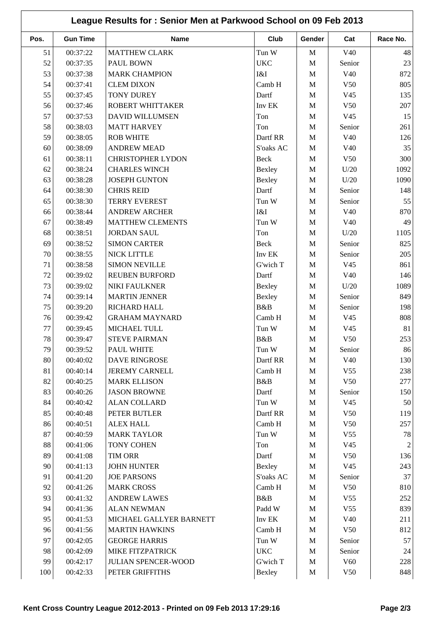| League Results for: Senior Men at Parkwood School on 09 Feb 2013 |                 |                          |               |              |                 |                |  |
|------------------------------------------------------------------|-----------------|--------------------------|---------------|--------------|-----------------|----------------|--|
| Pos.                                                             | <b>Gun Time</b> | <b>Name</b>              | Club          | Gender       | Cat             | Race No.       |  |
| 51                                                               | 00:37:22        | <b>MATTHEW CLARK</b>     | Tun W         | M            | V40             | 48             |  |
| 52                                                               | 00:37:35        | PAUL BOWN                | <b>UKC</b>    | M            | Senior          | 23             |  |
| 53                                                               | 00:37:38        | <b>MARK CHAMPION</b>     | I&I           | $\mathbf{M}$ | V40             | 872            |  |
| 54                                                               | 00:37:41        | <b>CLEM DIXON</b>        | Camb H        | $\mathbf M$  | V <sub>50</sub> | 805            |  |
| 55                                                               | 00:37:45        | <b>TONY DUREY</b>        | Dartf         | M            | V <sub>45</sub> | 135            |  |
| 56                                                               | 00:37:46        | <b>ROBERT WHITTAKER</b>  | Inv EK        | M            | V <sub>50</sub> | 207            |  |
| 57                                                               | 00:37:53        | <b>DAVID WILLUMSEN</b>   | Ton           | M            | V45             | 15             |  |
| 58                                                               | 00:38:03        | <b>MATT HARVEY</b>       | Ton           | $\mathbf{M}$ | Senior          | 261            |  |
| 59                                                               | 00:38:05        | <b>ROB WHITE</b>         | Dartf RR      | M            | V40             | 126            |  |
| 60                                                               | 00:38:09        | <b>ANDREW MEAD</b>       | S'oaks AC     | M            | V40             | 35             |  |
| 61                                                               | 00:38:11        | <b>CHRISTOPHER LYDON</b> | Beck          | $\mathbf M$  | V <sub>50</sub> | 300            |  |
| 62                                                               | 00:38:24        | <b>CHARLES WINCH</b>     | Bexley        | M            | U/20            | 1092           |  |
| 63                                                               | 00:38:28        | <b>JOSEPH GUNTON</b>     | Bexley        | M            | U/20            | 1090           |  |
| 64                                                               | 00:38:30        | <b>CHRIS REID</b>        | Dartf         | $\mathbf{M}$ | Senior          | 148            |  |
| 65                                                               | 00:38:30        | <b>TERRY EVEREST</b>     | Tun W         | $\mathbf{M}$ | Senior          | 55             |  |
| 66                                                               | 00:38:44        | <b>ANDREW ARCHER</b>     | I&I           | M            | V <sub>40</sub> | 870            |  |
| 67                                                               | 00:38:49        | <b>MATTHEW CLEMENTS</b>  | Tun W         | $\mathbf{M}$ | V40             | 49             |  |
| 68                                                               | 00:38:51        | <b>JORDAN SAUL</b>       | Ton           | M            | U/20            | 1105           |  |
| 69                                                               | 00:38:52        | <b>SIMON CARTER</b>      | Beck          | $\mathbf{M}$ | Senior          | 825            |  |
| 70                                                               | 00:38:55        | <b>NICK LITTLE</b>       | Inv EK        | $\mathbf M$  | Senior          | 205            |  |
| 71                                                               | 00:38:58        | <b>SIMON NEVILLE</b>     | G'wich T      | M            | V <sub>45</sub> | 861            |  |
| 72                                                               | 00:39:02        | <b>REUBEN BURFORD</b>    | Dartf         | $\mathbf M$  | V40             | 146            |  |
| 73                                                               | 00:39:02        | NIKI FAULKNER            | Bexley        | M            | U/20            | 1089           |  |
| 74                                                               | 00:39:14        | <b>MARTIN JENNER</b>     |               | M            | Senior          | 849            |  |
| 75                                                               | 00:39:20        | RICHARD HALL             | Bexley<br>B&B | $\mathbf M$  | Senior          | 198            |  |
| 76                                                               | 00:39:42        | <b>GRAHAM MAYNARD</b>    | Camb H        | $\mathbf M$  | V45             | 808            |  |
|                                                                  | 00:39:45        |                          |               |              |                 |                |  |
| 77                                                               |                 | MICHAEL TULL             | Tun W         | M            | V45             | 81             |  |
| 78                                                               | 00:39:47        | <b>STEVE PAIRMAN</b>     | B&B           | M            | V50             | 253            |  |
| 79                                                               | 00:39:52        | <b>PAUL WHITE</b>        | Tun W         | M            | Senior          | 86             |  |
| 80                                                               | 00:40:02        | <b>DAVE RINGROSE</b>     | Dartf RR      | M            | V40             | 130            |  |
| 81                                                               | 00:40:14        | <b>JEREMY CARNELL</b>    | Camb H        | $\mathbf M$  | V <sub>55</sub> | 238            |  |
| 82                                                               | 00:40:25        | <b>MARK ELLISON</b>      | B&B           | M            | V <sub>50</sub> | 277            |  |
| 83                                                               | 00:40:26        | <b>JASON BROWNE</b>      | Dartf         | M            | Senior          | 150            |  |
| 84                                                               | 00:40:42        | <b>ALAN COLLARD</b>      | Tun W         | M            | V45             | 50             |  |
| 85                                                               | 00:40:48        | PETER BUTLER             | Dartf RR      | M            | V50             | 119            |  |
| 86                                                               | 00:40:51        | <b>ALEX HALL</b>         | Camb H        | M            | V50             | 257            |  |
| 87                                                               | 00:40:59        | <b>MARK TAYLOR</b>       | Tun W         | M            | V <sub>55</sub> | 78             |  |
| 88                                                               | 00:41:06        | <b>TONY COHEN</b>        | Ton           | M            | V45             | $\overline{2}$ |  |
| 89                                                               | 00:41:08        | <b>TIM ORR</b>           | Dartf         | M            | V50             | 136            |  |
| 90                                                               | 00:41:13        | JOHN HUNTER              | Bexley        | M            | V <sub>45</sub> | 243            |  |
| 91                                                               | 00:41:20        | <b>JOE PARSONS</b>       | S'oaks AC     | $\mathbf M$  | Senior          | 37             |  |
| 92                                                               | 00:41:26        | <b>MARK CROSS</b>        | Camb H        | $\mathbf M$  | V <sub>50</sub> | 810            |  |
| 93                                                               | 00:41:32        | <b>ANDREW LAWES</b>      | B&B           | M            | V <sub>55</sub> | 252            |  |
| 94                                                               | 00:41:36        | <b>ALAN NEWMAN</b>       | Padd W        | M            | V <sub>55</sub> | 839            |  |
| 95                                                               | 00:41:53        | MICHAEL GALLYER BARNETT  | Inv EK        | M            | V40             | 211            |  |
| 96                                                               | 00:41:56        | <b>MARTIN HAWKINS</b>    | Camb H        | M            | V <sub>50</sub> | 812            |  |
| 97                                                               | 00:42:05        | <b>GEORGE HARRIS</b>     | Tun W         | M            | Senior          | 57             |  |
| 98                                                               | 00:42:09        | <b>MIKE FITZPATRICK</b>  | <b>UKC</b>    | M            | Senior          | 24             |  |
| 99                                                               | 00:42:17        | JULIAN SPENCER-WOOD      | G'wich T      | $\mathbf M$  | V <sub>60</sub> | 228            |  |
| 100                                                              | 00:42:33        | PETER GRIFFITHS          | Bexley        | $\mathbf M$  | V50             | 848            |  |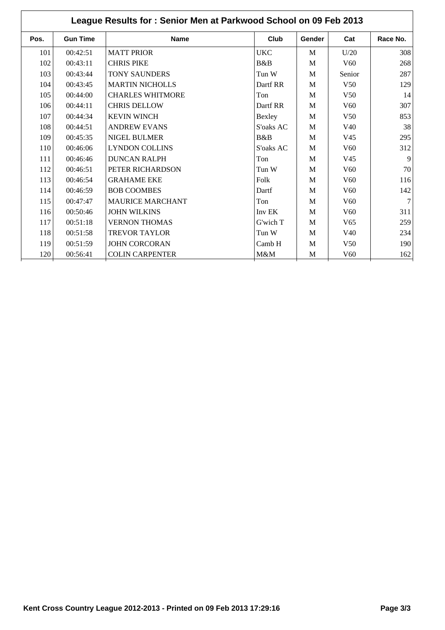| League Results for: Senior Men at Parkwood School on 09 Feb 2013 |                 |                         |            |        |                 |          |  |
|------------------------------------------------------------------|-----------------|-------------------------|------------|--------|-----------------|----------|--|
| Pos.                                                             | <b>Gun Time</b> | <b>Name</b>             | Club       | Gender | Cat             | Race No. |  |
| 101                                                              | 00:42:51        | <b>MATT PRIOR</b>       | <b>UKC</b> | M      | U/20            | 308      |  |
| 102                                                              | 00:43:11        | <b>CHRIS PIKE</b>       | B&B        | M      | V <sub>60</sub> | 268      |  |
| 103                                                              | 00:43:44        | <b>TONY SAUNDERS</b>    | Tun W      | M      | Senior          | 287      |  |
| 104                                                              | 00:43:45        | <b>MARTIN NICHOLLS</b>  | Dartf RR   | M      | V <sub>50</sub> | 129      |  |
| 105                                                              | 00:44:00        | <b>CHARLES WHITMORE</b> | Ton        | M      | V <sub>50</sub> | 14       |  |
| 106                                                              | 00:44:11        | <b>CHRIS DELLOW</b>     | Dartf RR   | M      | V <sub>60</sub> | 307      |  |
| 107                                                              | 00:44:34        | <b>KEVIN WINCH</b>      | Bexley     | M      | V <sub>50</sub> | 853      |  |
| 108                                                              | 00:44:51        | <b>ANDREW EVANS</b>     | S'oaks AC  | M      | V <sub>40</sub> | 38       |  |
| 109                                                              | 00:45:35        | <b>NIGEL BULMER</b>     | B&B        | M      | V <sub>45</sub> | 295      |  |
| 110                                                              | 00:46:06        | <b>LYNDON COLLINS</b>   | S'oaks AC  | M      | V <sub>60</sub> | 312      |  |
| 111                                                              | 00:46:46        | <b>DUNCAN RALPH</b>     | Ton        | M      | V <sub>45</sub> | 9        |  |
| 112                                                              | 00:46:51        | PETER RICHARDSON        | Tun W      | M      | V <sub>60</sub> | 70       |  |
| 113                                                              | 00:46:54        | <b>GRAHAME EKE</b>      | Folk       | M      | V <sub>60</sub> | 116      |  |
| 114                                                              | 00:46:59        | <b>BOB COOMBES</b>      | Dartf      | M      | V <sub>60</sub> | 142      |  |
| 115                                                              | 00:47:47        | <b>MAURICE MARCHANT</b> | Ton        | M      | V <sub>60</sub> | 7        |  |
| 116                                                              | 00:50:46        | <b>JOHN WILKINS</b>     | Inv EK     | M      | V <sub>60</sub> | 311      |  |
| 117                                                              | 00:51:18        | <b>VERNON THOMAS</b>    | G'wich T   | M      | V <sub>65</sub> | 259      |  |
| 118                                                              | 00:51:58        | <b>TREVOR TAYLOR</b>    | Tun W      | M      | V <sub>40</sub> | 234      |  |
| 119                                                              | 00:51:59        | <b>JOHN CORCORAN</b>    | Camb H     | M      | V <sub>50</sub> | 190      |  |
| 120                                                              | 00:56:41        | <b>COLIN CARPENTER</b>  | M&M        | M      | V <sub>60</sub> | 162      |  |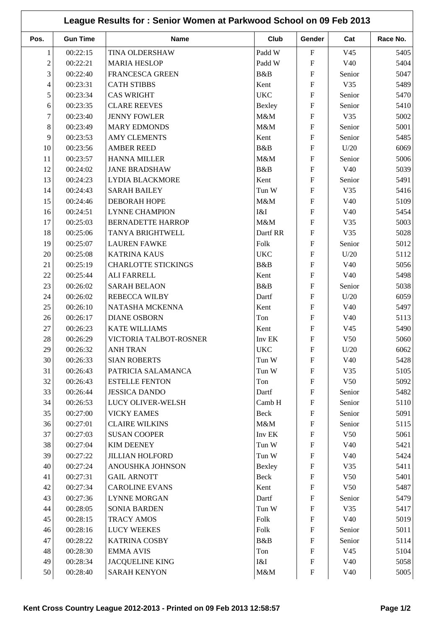| League Results for: Senior Women at Parkwood School on 09 Feb 2013 |                 |                                             |                                                     |                           |                        |          |
|--------------------------------------------------------------------|-----------------|---------------------------------------------|-----------------------------------------------------|---------------------------|------------------------|----------|
| Pos.                                                               | <b>Gun Time</b> | <b>Name</b>                                 | Club                                                | Gender                    | Cat                    | Race No. |
| 1                                                                  | 00:22:15        | TINA OLDERSHAW                              | Padd W                                              | ${\bf F}$                 | V <sub>45</sub>        | 5405     |
| $\overline{c}$                                                     | 00:22:21        | <b>MARIA HESLOP</b>                         | Padd W                                              | ${\bf F}$                 | V40                    | 5404     |
| 3                                                                  | 00:22:40        | <b>FRANCESCA GREEN</b>                      | B&B                                                 | $\mathbf{F}$              | Senior                 | 5047     |
| 4                                                                  | 00:23:31        | <b>CATH STIBBS</b>                          | Kent                                                | ${\bf F}$                 | V35                    | 5489     |
| 5                                                                  | 00:23:34        | <b>CAS WRIGHT</b>                           | <b>UKC</b>                                          | ${\bf F}$                 | Senior                 | 5470     |
| 6                                                                  | 00:23:35        | <b>CLARE REEVES</b>                         | Bexley                                              | ${\bf F}$                 | Senior                 | 5410     |
| 7                                                                  | 00:23:40        | <b>JENNY FOWLER</b>                         | M&M                                                 | $\mathbf{F}$              | V35                    | 5002     |
| $8\,$                                                              | 00:23:49        | <b>MARY EDMONDS</b>                         | M&M                                                 | ${\bf F}$                 | Senior                 | 5001     |
| 9                                                                  | 00:23:53        | <b>AMY CLEMENTS</b>                         | Kent                                                | ${\bf F}$                 | Senior                 | 5485     |
| 10                                                                 | 00:23:56        | <b>AMBER REED</b>                           | B&B                                                 | ${\bf F}$                 | U/20                   | 6069     |
| 11                                                                 | 00:23:57        | <b>HANNA MILLER</b>                         | M&M                                                 | ${\bf F}$                 | Senior                 | 5006     |
| 12                                                                 | 00:24:02        | <b>JANE BRADSHAW</b>                        | B&B                                                 | $\mathbf{F}$              | V40                    | 5039     |
| 13                                                                 | 00:24:23        | <b>LYDIA BLACKMORE</b>                      | Kent                                                | ${\bf F}$                 | Senior                 | 5491     |
| 14                                                                 | 00:24:43        | <b>SARAH BAILEY</b>                         | Tun W                                               | $\mathbf{F}$              | V35                    | 5416     |
| 15                                                                 | 00:24:46        | <b>DEBORAH HOPE</b>                         | M&M                                                 | ${\bf F}$                 | V40                    | 5109     |
| 16                                                                 | 00:24:51        | <b>LYNNE CHAMPION</b>                       | I&I                                                 | ${\bf F}$                 | V40                    | 5454     |
| 17                                                                 | 00:25:03        | <b>BERNADETTE HARROP</b>                    | M&M                                                 | $\mathbf{F}$              | V35                    | 5003     |
| 18                                                                 | 00:25:06        | TANYA BRIGHTWELL                            | Dartf RR                                            | $\mathbf{F}$              | V35                    | 5028     |
| 19                                                                 | 00:25:07        | <b>LAUREN FAWKE</b>                         | Folk                                                | ${\bf F}$                 | Senior                 | 5012     |
| 20                                                                 | 00:25:08        | <b>KATRINA KAUS</b>                         | <b>UKC</b>                                          | $\overline{F}$            | U/20                   | 5112     |
| 21                                                                 | 00:25:19        | <b>CHARLOTTE STICKINGS</b>                  | B&B                                                 | ${\bf F}$                 | V40                    | 5056     |
| 22                                                                 | 00:25:44        | <b>ALI FARRELL</b>                          | Kent                                                | ${\bf F}$                 | V40                    | 5498     |
| 23                                                                 | 00:26:02        | <b>SARAH BELAON</b>                         | B&B                                                 | $\mathbf{F}$              | Senior                 | 5038     |
| 24                                                                 | 00:26:02        | <b>REBECCA WILBY</b>                        | Dartf                                               | ${\bf F}$                 | U/20                   | 6059     |
| 25                                                                 | 00:26:10        | NATASHA MCKENNA                             | Kent                                                | ${\bf F}$                 | V40                    | 5497     |
| 26                                                                 | 00:26:17        | <b>DIANE OSBORN</b>                         | Ton                                                 | ${\bf F}$                 | V40                    | 5113     |
| 27                                                                 | 00:26:23        | <b>KATE WILLIAMS</b>                        | Kent                                                | ${\bf F}$                 | V <sub>45</sub>        | 5490     |
| 28                                                                 | 00:26:29        | VICTORIA TALBOT-ROSNER                      | $\mathop{\rm Inv}\nolimits\mathop{\rm EK}\nolimits$ | $\mathbf{F}$              | V <sub>50</sub>        | 5060     |
| 29                                                                 | 00:26:32        | <b>ANH TRAN</b>                             | <b>UKC</b>                                          | $\mathbf{F}$              | U/20                   | 6062     |
| 30                                                                 | 00:26:33        | <b>SIAN ROBERTS</b>                         | Tun W                                               | ${\bf F}$                 | V40                    | 5428     |
| 31                                                                 | 00:26:43        | PATRICIA SALAMANCA                          | Tun W                                               | ${\bf F}$                 | V35                    | 5105     |
| 32                                                                 | 00:26:43        | <b>ESTELLE FENTON</b>                       | Ton                                                 | ${\bf F}$                 | V50                    | 5092     |
| 33                                                                 | 00:26:44        | <b>JESSICA DANDO</b>                        | Dartf                                               | ${\bf F}$                 | Senior                 | 5482     |
| 34                                                                 | 00:26:53        | LUCY OLIVER-WELSH                           | Camb H                                              | ${\bf F}$                 | Senior                 | 5110     |
| 35                                                                 | 00:27:00        | <b>VICKY EAMES</b>                          | Beck                                                | ${\bf F}$                 | Senior                 | 5091     |
| 36                                                                 | 00:27:01        | <b>CLAIRE WILKINS</b>                       | M&M                                                 | ${\bf F}$                 | Senior                 | 5115     |
| 37                                                                 | 00:27:03        | <b>SUSAN COOPER</b>                         | Inv EK                                              | $\boldsymbol{\mathrm{F}}$ | V50                    | 5061     |
| 38                                                                 | 00:27:04        | <b>KIM DEENEY</b>                           | Tun W                                               | ${\bf F}$                 | V40                    | 5421     |
| 39                                                                 | 00:27:22        | <b>JILLIAN HOLFORD</b>                      | Tun W                                               | ${\bf F}$                 | V40                    | 5424     |
| 40                                                                 | 00:27:24        |                                             |                                                     | ${\bf F}$                 | V35                    |          |
|                                                                    |                 | ANOUSHKA JOHNSON                            | Bexley                                              | ${\bf F}$                 |                        | 5411     |
| 41                                                                 | 00:27:31        | <b>GAIL ARNOTT</b><br><b>CAROLINE EVANS</b> | Beck                                                | ${\bf F}$                 | V50<br>V <sub>50</sub> | 5401     |
| 42                                                                 | 00:27:34        |                                             | Kent                                                | ${\bf F}$                 |                        | 5487     |
| 43                                                                 | 00:27:36        | <b>LYNNE MORGAN</b>                         | Dartf                                               | ${\bf F}$                 | Senior                 | 5479     |
| 44                                                                 | 00:28:05        | <b>SONIA BARDEN</b>                         | Tun W                                               |                           | V35                    | 5417     |
| 45                                                                 | 00:28:15        | <b>TRACY AMOS</b>                           | Folk                                                | ${\bf F}$                 | V40                    | 5019     |
| 46                                                                 | 00:28:16        | <b>LUCY WEEKES</b>                          | Folk                                                | ${\bf F}$                 | Senior                 | 5011     |
| 47                                                                 | 00:28:22        | <b>KATRINA COSBY</b>                        | B&B                                                 | ${\bf F}$                 | Senior                 | 5114     |
| 48                                                                 | 00:28:30        | <b>EMMA AVIS</b>                            | Ton                                                 | $\mathbf F$               | V45                    | 5104     |
| 49                                                                 | 00:28:34        | <b>JACQUELINE KING</b>                      | I&I                                                 | ${\bf F}$                 | V40                    | 5058     |
| 50                                                                 | 00:28:40        | <b>SARAH KENYON</b>                         | M&M                                                 | ${\bf F}$                 | V40                    | 5005     |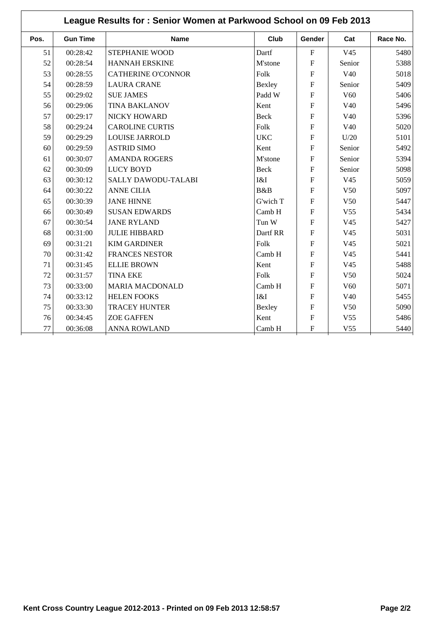| League Results for: Senior Women at Parkwood School on 09 Feb 2013 |                 |                            |             |                |                 |          |
|--------------------------------------------------------------------|-----------------|----------------------------|-------------|----------------|-----------------|----------|
| Pos.                                                               | <b>Gun Time</b> | <b>Name</b>                | Club        | Gender         | Cat             | Race No. |
| 51                                                                 | 00:28:42        | STEPHANIE WOOD             | Dartf       | $\mathbf{F}$   | V <sub>45</sub> | 5480     |
| 52                                                                 | 00:28:54        | <b>HANNAH ERSKINE</b>      | M'stone     | $\mathbf{F}$   | Senior          | 5388     |
| 53                                                                 | 00:28:55        | <b>CATHERINE O'CONNOR</b>  | Folk        | ${\bf F}$      | V40             | 5018     |
| 54                                                                 | 00:28:59        | <b>LAURA CRANE</b>         | Bexley      | $\overline{F}$ | Senior          | 5409     |
| 55                                                                 | 00:29:02        | <b>SUE JAMES</b>           | Padd W      | $\mathbf F$    | V <sub>60</sub> | 5406     |
| 56                                                                 | 00:29:06        | <b>TINA BAKLANOV</b>       | Kent        | $\overline{F}$ | V40             | 5496     |
| 57                                                                 | 00:29:17        | <b>NICKY HOWARD</b>        | <b>Beck</b> | $\overline{F}$ | V40             | 5396     |
| 58                                                                 | 00:29:24        | <b>CAROLINE CURTIS</b>     | Folk        | $\overline{F}$ | V40             | 5020     |
| 59                                                                 | 00:29:29        | <b>LOUISE JARROLD</b>      | <b>UKC</b>  | $\mathbf{F}$   | U/20            | 5101     |
| 60                                                                 | 00:29:59        | <b>ASTRID SIMO</b>         | Kent        | $\overline{F}$ | Senior          | 5492     |
| 61                                                                 | 00:30:07        | <b>AMANDA ROGERS</b>       | M'stone     | $\mathbf F$    | Senior          | 5394     |
| 62                                                                 | 00:30:09        | <b>LUCY BOYD</b>           | Beck        | $\mathbf{F}$   | Senior          | 5098     |
| 63                                                                 | 00:30:12        | <b>SALLY DAWODU-TALABI</b> | I&I         | F              | V <sub>45</sub> | 5059     |
| 64                                                                 | 00:30:22        | <b>ANNE CILIA</b>          | B&B         | $\mathbf{F}$   | V <sub>50</sub> | 5097     |
| 65                                                                 | 00:30:39        | <b>JANE HINNE</b>          | G'wich T    | $\overline{F}$ | V <sub>50</sub> | 5447     |
| 66                                                                 | 00:30:49        | <b>SUSAN EDWARDS</b>       | Camb H      | $\overline{F}$ | V <sub>55</sub> | 5434     |
| 67                                                                 | 00:30:54        | <b>JANE RYLAND</b>         | Tun W       | $\overline{F}$ | V <sub>45</sub> | 5427     |
| 68                                                                 | 00:31:00        | <b>JULIE HIBBARD</b>       | Dartf RR    | $\mathbf{F}$   | V <sub>45</sub> | 5031     |
| 69                                                                 | 00:31:21        | <b>KIM GARDINER</b>        | Folk        | $\overline{F}$ | V <sub>45</sub> | 5021     |
| 70                                                                 | 00:31:42        | <b>FRANCES NESTOR</b>      | Camb H      | $\overline{F}$ | V <sub>45</sub> | 5441     |
| 71                                                                 | 00:31:45        | <b>ELLIE BROWN</b>         | Kent        | $\overline{F}$ | V45             | 5488     |
| 72                                                                 | 00:31:57        | <b>TINA EKE</b>            | Folk        | $\overline{F}$ | V50             | 5024     |
| 73                                                                 | 00:33:00        | <b>MARIA MACDONALD</b>     | Camb H      | $\overline{F}$ | V <sub>60</sub> | 5071     |
| 74                                                                 | 00:33:12        | <b>HELEN FOOKS</b>         | I&I         | $\overline{F}$ | V40             | 5455     |
| 75                                                                 | 00:33:30        | <b>TRACEY HUNTER</b>       | Bexley      | $\overline{F}$ | V50             | 5090     |
| 76                                                                 | 00:34:45        | <b>ZOE GAFFEN</b>          | Kent        | $\mathbf{F}$   | V <sub>55</sub> | 5486     |
| 77                                                                 | 00:36:08        | <b>ANNA ROWLAND</b>        | Camb H      | $\mathbf F$    | V <sub>55</sub> | 5440     |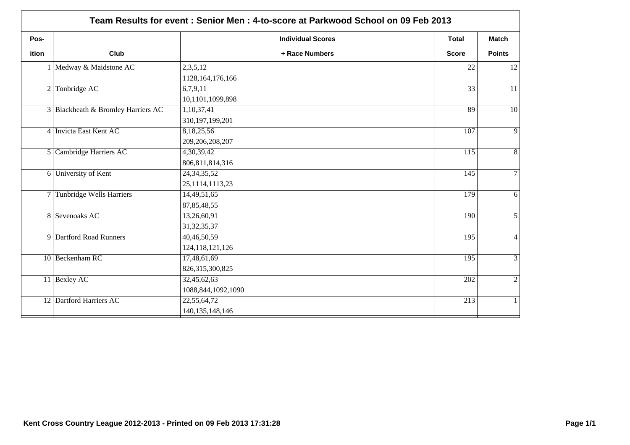|       | Team Results for event: Senior Men: 4-to-score at Parkwood School on 09 Feb 2013 |                                      |                  |                 |  |  |  |
|-------|----------------------------------------------------------------------------------|--------------------------------------|------------------|-----------------|--|--|--|
| Pos-  |                                                                                  | <b>Individual Scores</b>             | <b>Total</b>     | <b>Match</b>    |  |  |  |
| ition | Club                                                                             | + Race Numbers                       | <b>Score</b>     | <b>Points</b>   |  |  |  |
|       | 1 Medway & Maidstone AC                                                          | 2,3,5,12<br>1128, 164, 176, 166      | 22               | 12              |  |  |  |
|       | $2$ Tonbridge AC                                                                 | 6,7,9,11<br>10,1101,1099,898         | $\overline{33}$  | 11              |  |  |  |
|       | 3 Blackheath & Bromley Harriers AC                                               | 1,10,37,41<br>310,197,199,201        | 89               | $\overline{10}$ |  |  |  |
|       | 4 Invicta East Kent AC                                                           | 8,18,25,56<br>209,206,208,207        | 107              | $\overline{9}$  |  |  |  |
|       | 5 Cambridge Harriers AC                                                          | 4,30,39,42<br>806, 811, 814, 316     | $\overline{115}$ | $\overline{8}$  |  |  |  |
|       | 6 University of Kent                                                             | 24, 34, 35, 52<br>25, 1114, 1113, 23 | $\overline{145}$ | $\overline{7}$  |  |  |  |
|       | 7 Tunbridge Wells Harriers                                                       | 14,49,51,65<br>87, 85, 48, 55        | 179              | $\overline{6}$  |  |  |  |
|       | 8 Sevenoaks AC                                                                   | 13,26,60,91<br>31, 32, 35, 37        | 190              | $\overline{5}$  |  |  |  |
|       | 9 Dartford Road Runners                                                          | 40,46,50,59<br>124, 118, 121, 126    | 195              | $\overline{4}$  |  |  |  |
|       | 10 Beckenham RC                                                                  | 17,48,61,69<br>826,315,300,825       | 195              | $\overline{3}$  |  |  |  |
|       | 11 Bexley AC                                                                     | 32,45,62,63<br>1088, 844, 1092, 1090 | 202              | $\overline{2}$  |  |  |  |
|       | 12 Dartford Harriers AC                                                          | 22,55,64,72<br>140, 135, 148, 146    | $\overline{213}$ | $\mathbf{1}$    |  |  |  |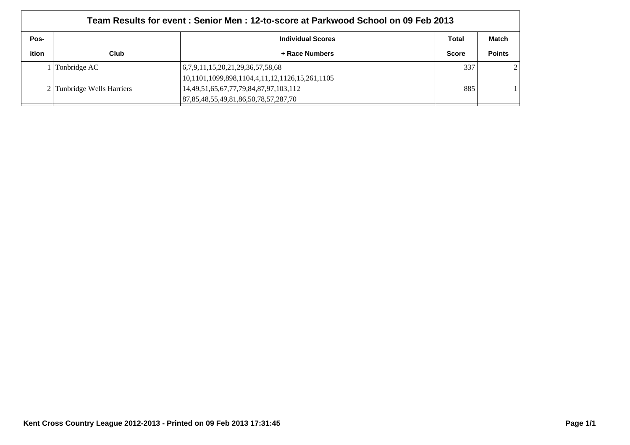| Team Results for event : Senior Men : 12-to-score at Parkwood School on 09 Feb 2013 |                            |                                                  |              |               |  |  |
|-------------------------------------------------------------------------------------|----------------------------|--------------------------------------------------|--------------|---------------|--|--|
| Pos-<br>Total<br><b>Individual Scores</b>                                           |                            |                                                  |              |               |  |  |
| ition                                                                               | Club                       | + Race Numbers                                   | <b>Score</b> | <b>Points</b> |  |  |
|                                                                                     | Tonbridge AC               | (6,7,9,11,15,20,21,29,36,57,58,68)               | 337          |               |  |  |
|                                                                                     |                            | 10,1101,1099,898,1104,4,11,12,1126,15,261,1105   |              |               |  |  |
|                                                                                     | 2 Tunbridge Wells Harriers | 14, 49, 51, 65, 67, 77, 79, 84, 87, 97, 103, 112 | 885          |               |  |  |
|                                                                                     |                            | 87, 85, 48, 55, 49, 81, 86, 50, 78, 57, 287, 70  |              |               |  |  |